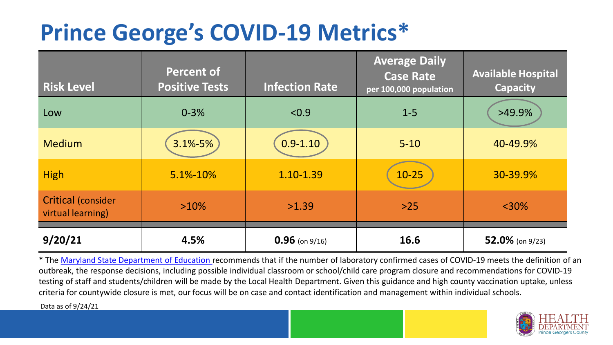## **Prince George's COVID-19 Metrics\***

| <b>Risk Level</b>                       | <b>Percent of</b><br><b>Positive Tests</b> | <b>Infection Rate</b> | <b>Average Daily</b><br><b>Case Rate</b><br>per 100,000 population | <b>Available Hospital</b><br><b>Capacity</b> |
|-----------------------------------------|--------------------------------------------|-----------------------|--------------------------------------------------------------------|----------------------------------------------|
| Low                                     | $0 - 3%$                                   | < 0.9                 | $1 - 5$                                                            | >49.9%                                       |
| <b>Medium</b>                           | $3.1\% - 5\%$                              | $0.9 - 1.10$          | $5 - 10$                                                           | 40-49.9%                                     |
| <b>High</b>                             | 5.1%-10%                                   | 1.10-1.39             | $10 - 25$                                                          | 30-39.9%                                     |
| Critical (consider<br>virtual learning) | $>10\%$                                    | >1.39                 | $>25$                                                              | $<$ 30%                                      |
| 9/20/21                                 | 4.5%                                       | $0.96$ (on 9/16)      | 16.6                                                               | 52.0% (on 9/23)                              |

\* The [Maryland State Department of Education r](https://earlychildhood.marylandpublicschools.org/system/files/filedepot/3/covid_guidance_full_080420.pdf)ecommends that if the number of laboratory confirmed cases of COVID-19 meets the definition of an outbreak, the response decisions, including possible individual classroom or school/child care program closure and recommendations for COVID-19 testing of staff and students/children will be made by the Local Health Department. Given this guidance and high county vaccination uptake, unless criteria for countywide closure is met, our focus will be on case and contact identification and management within individual schools.

Data as of 9/24/21

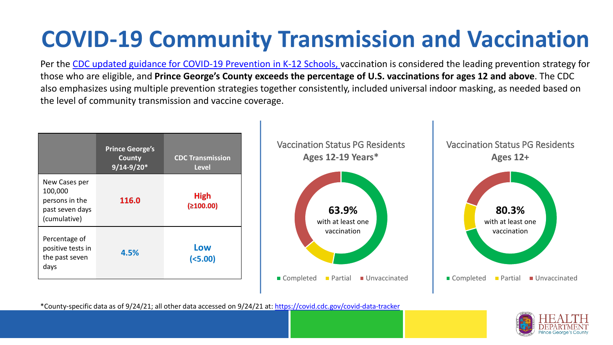# **COVID-19 Community Transmission and Vaccination**

Per the [CDC updated guidance for COVID-19 Prevention in K-12 Schools,](https://www.cdc.gov/coronavirus/2019-ncov/community/schools-childcare/k-12-guidance.html) vaccination is considered the leading prevention strategy for those who are eligible, and **Prince George's County exceeds the percentage of U.S. vaccinations for ages 12 and above**. The CDC also emphasizes using multiple prevention strategies together consistently, included universal indoor masking, as needed based on the level of community transmission and vaccine coverage.



\*County-specific data as of 9/24/21; all other data accessed on 9/24/21 at:<https://covid.cdc.gov/covid-data-tracker>

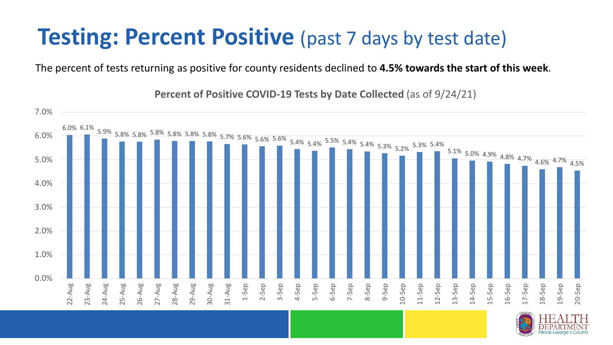### **Testing: Percent Positive** (past 7 days by test date)

The percent of tests returning as positive for county residents declined to **4.5% towards the start of this week**.

6.0% 6.1% 5.9% 5.8% 5.8% 5.8% 5.8% 5.8% 5.8% 5.7% 5.6% 5.6% 5.6% 5.4% 5.4% 5.5% 5.4% 5.4% 5.3% 5.2% 5.3% 5.4% 5.1% 5.0% 4.9% 4.8% 4.7% 4.6% 4.7% 4.5% 0.0% 1.0% 2.0% 3.0% 4.0% 5.0% 6.0% 7.0% 22-Aug 23-Aug 24-Aug 25-Aug 26-Aug 27-Aug 28-Aug 29-Aug 30-Aug 31-Aug 1-Sep 2-Sep 3-Sep 4-Sep 5-Sep 6-Sep 7-Sep 8-Sep 9-Sep 10-Sep 11-Sep 12-Sep 13-Sep 14-Sep 15-Sep 16-Sep 17-Sep 18-Sep 19-Sep 20-Sep

**Percent of Positive COVID-19 Tests by Date Collected** (as of 9/24/21)

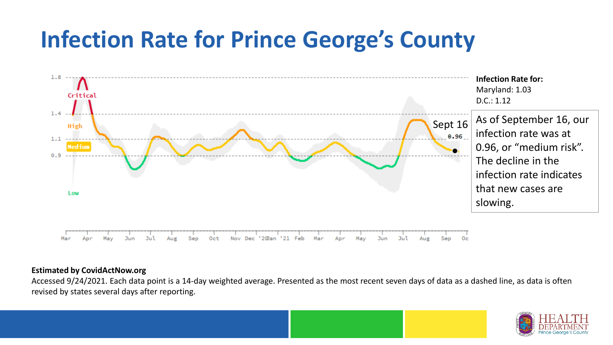## **Infection Rate for Prince George's County**



#### **Estimated by CovidActNow.org**

Accessed 9/24/2021. Each data point is a 14-day weighted average. Presented as the most recent seven days of data as a dashed line, as data is often revised by states several days after reporting.

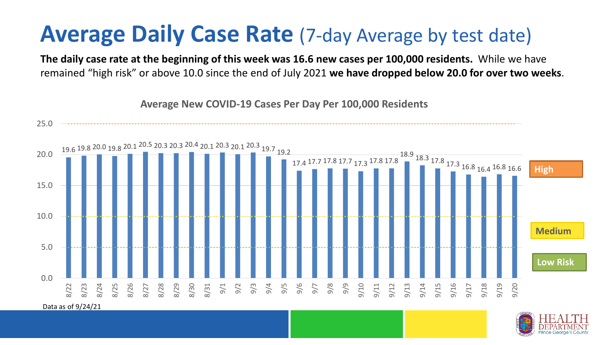### **Average Daily Case Rate** (7-day Average by test date)

**The daily case rate at the beginning of this week was 16.6 new cases per 100,000 residents.** While we have remained "high risk" or above 10.0 since the end of July 2021 **we have dropped below 20.0 for over two weeks**.



**Average New COVID-19 Cases Per Day Per 100,000 Residents**